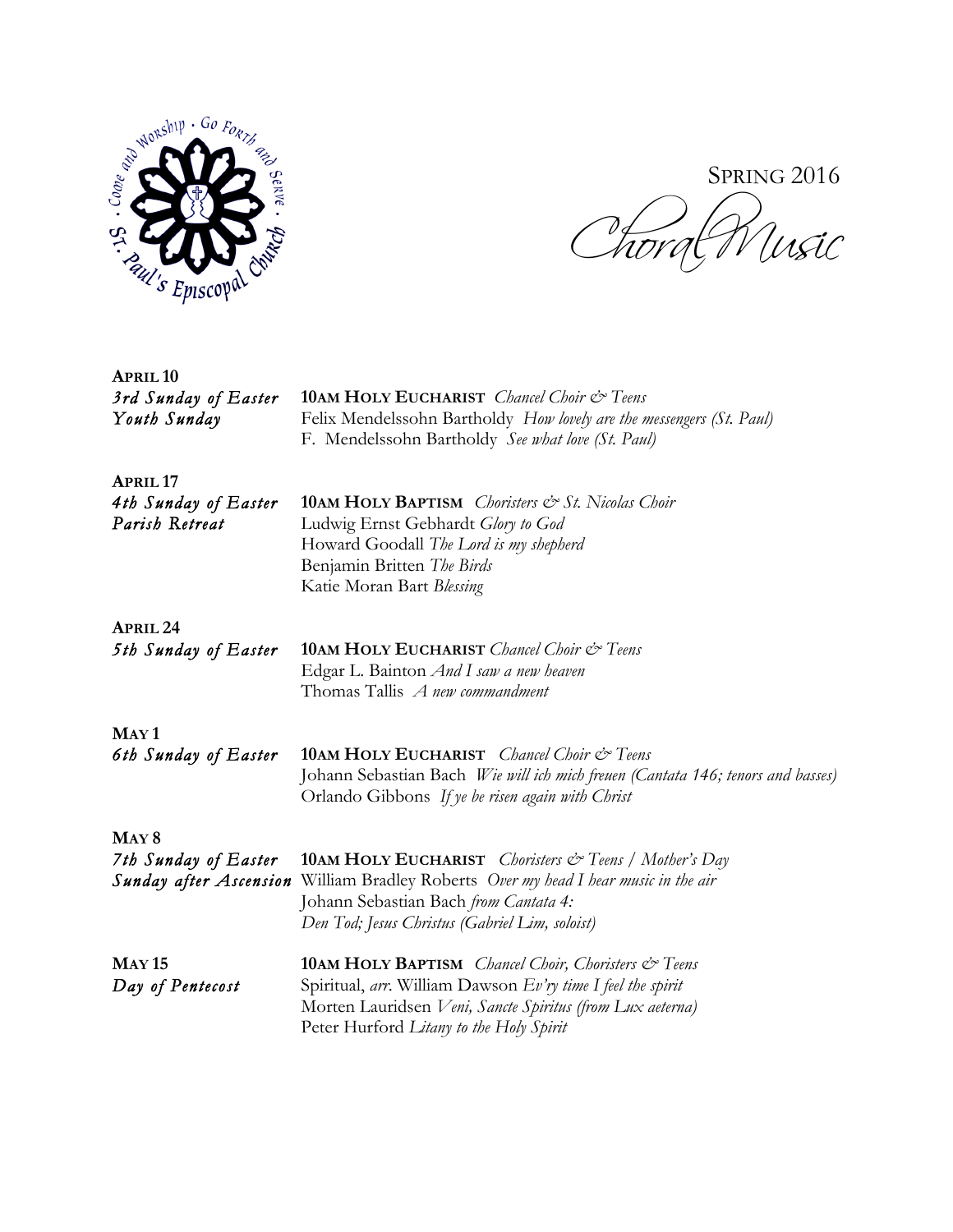

SPRING 2016

*Choral Music* 

| <b>APRIL 10</b><br>3rd Sunday of Easter<br>Youth Sunday                   | <b>10AM HOLY EUCHARIST</b> Chancel Choir & Teens<br>Felix Mendelssohn Bartholdy How lovely are the messengers (St. Paul)<br>F. Mendelssohn Bartholdy See what love (St. Paul)                                                                           |
|---------------------------------------------------------------------------|---------------------------------------------------------------------------------------------------------------------------------------------------------------------------------------------------------------------------------------------------------|
| <b>APRIL 17</b><br>4th Sunday of Easter<br>Parish Retreat                 | <b>10AM HOLY BAPTISM</b> Choristers & St. Nicolas Choir<br>Ludwig Ernst Gebhardt Glory to God<br>Howard Goodall The Lord is my shepherd<br>Benjamin Britten The Birds<br>Katie Moran Bart Blessing                                                      |
| <b>APRIL 24</b><br>5th Sunday of Easter                                   | <b>10AM HOLY EUCHARIST</b> Chancel Choir & Teens<br>Edgar L. Bainton And I saw a new heaven<br>Thomas Tallis A new commandment                                                                                                                          |
| MAY <sub>1</sub><br>6th Sunday of Easter                                  | <b>10AM HOLY EUCHARIST</b> Chancel Choir & Teens<br>Johann Sebastian Bach Wie will ich mich freuen (Cantata 146; tenors and basses)<br>Orlando Gibbons If ye be risen again with Christ                                                                 |
| MAY <sub>8</sub><br>7th Sunday of Easter<br><b>Sunday after Ascension</b> | <b>10AM HOLY EUCHARIST</b> <i>Choristers</i> $\mathcal{O}$ <sup>r</sup> Teens / Mother's Day<br>William Bradley Roberts Over my head I hear music in the air<br>Johann Sebastian Bach from Cantata 4:<br>Den Tod; Jesus Christus (Gabriel Lim, soloist) |
| <b>MAY 15</b><br>Day of Pentecost                                         | <b>10AM HOLY BAPTISM</b> Chancel Choir, Choristers & Teens<br>Spiritual, arr. William Dawson Ev'ry time I feel the spirit<br>Morten Lauridsen Veni, Sancte Spiritus (from Lux aeterna)<br>Peter Hurford Litany to the Holy Spirit                       |